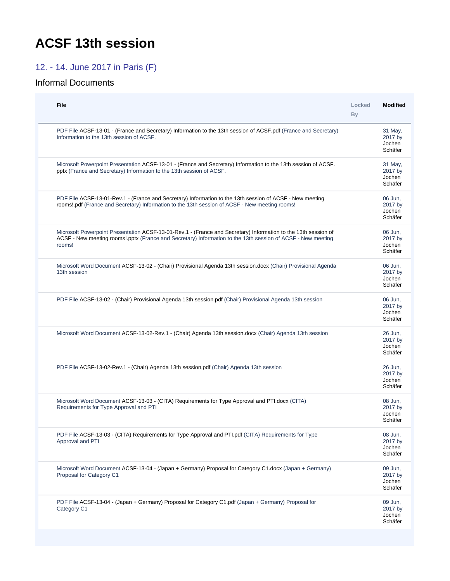## <span id="page-0-0"></span>**ACSF 13th session**

## 12. - 14. June 2017 in Paris (F)

## Informal Documents

| File                                                                                                                                                                                                                                    | Locked<br>By | <b>Modified</b>                         |
|-----------------------------------------------------------------------------------------------------------------------------------------------------------------------------------------------------------------------------------------|--------------|-----------------------------------------|
| PDF File ACSF-13-01 - (France and Secretary) Information to the 13th session of ACSF pdf (France and Secretary)<br>Information to the 13th session of ACSF.                                                                             |              | 31 May,<br>2017 by<br>Jochen<br>Schäfer |
| Microsoft Powerpoint Presentation ACSF-13-01 - (France and Secretary) Information to the 13th session of ACSF.<br>pptx (France and Secretary) Information to the 13th session of ACSF.                                                  |              | 31 May,<br>2017 by<br>Jochen<br>Schäfer |
| PDF File ACSF-13-01-Rev.1 - (France and Secretary) Information to the 13th session of ACSF - New meeting<br>rooms!.pdf (France and Secretary) Information to the 13th session of ACSF - New meeting rooms!                              |              | 06 Jun.<br>2017 by<br>Jochen<br>Schäfer |
| Microsoft Powerpoint Presentation ACSF-13-01-Rev.1 - (France and Secretary) Information to the 13th session of<br>ACSF - New meeting rooms! pptx (France and Secretary) Information to the 13th session of ACSF - New meeting<br>rooms! |              | 06 Jun.<br>2017 by<br>Jochen<br>Schäfer |
| Microsoft Word Document ACSF-13-02 - (Chair) Provisional Agenda 13th session.docx (Chair) Provisional Agenda<br>13th session                                                                                                            |              | 06 Jun,<br>2017 by<br>Jochen<br>Schäfer |
| PDF File ACSF-13-02 - (Chair) Provisional Agenda 13th session.pdf (Chair) Provisional Agenda 13th session                                                                                                                               |              | 06 Jun,<br>2017 by<br>Jochen<br>Schäfer |
| Microsoft Word Document ACSF-13-02-Rev.1 - (Chair) Agenda 13th session.docx (Chair) Agenda 13th session                                                                                                                                 |              | 26 Jun.<br>2017 by<br>Jochen<br>Schäfer |
| PDF File ACSF-13-02-Rev.1 - (Chair) Agenda 13th session.pdf (Chair) Agenda 13th session                                                                                                                                                 |              | 26 Jun,<br>2017 by<br>Jochen<br>Schäfer |
| Microsoft Word Document ACSF-13-03 - (CITA) Requirements for Type Approval and PTI.docx (CITA)<br>Requirements for Type Approval and PTI                                                                                                |              | 08 Jun,<br>2017 by<br>Jochen<br>Schäfer |
| PDF File ACSF-13-03 - (CITA) Requirements for Type Approval and PTI.pdf (CITA) Requirements for Type<br>Approval and PTI                                                                                                                |              | 08 Jun.<br>2017 by<br>Jochen<br>Schäfer |
| Microsoft Word Document ACSF-13-04 - (Japan + Germany) Proposal for Category C1.docx (Japan + Germany)<br>Proposal for Category C1                                                                                                      |              | 09 Jun,<br>2017 by<br>Jochen<br>Schäfer |
| PDF File ACSF-13-04 - (Japan + Germany) Proposal for Category C1.pdf (Japan + Germany) Proposal for<br>Category C1                                                                                                                      |              | 09 Jun,<br>2017 by<br>Jochen<br>Schäfer |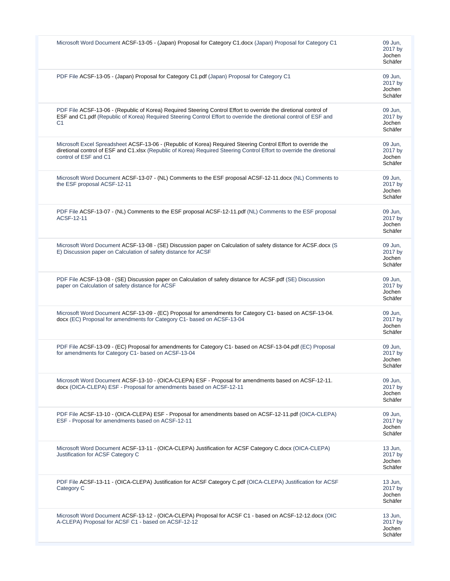|    | Microsoft Word Document ACSF-13-05 - (Japan) Proposal for Category C1.docx (Japan) Proposal for Category C1                                                                                                                                                     | 09 Jun,<br>2017 by<br>Jochen<br>Schäfer   |
|----|-----------------------------------------------------------------------------------------------------------------------------------------------------------------------------------------------------------------------------------------------------------------|-------------------------------------------|
|    | PDF File ACSF-13-05 - (Japan) Proposal for Category C1.pdf (Japan) Proposal for Category C1                                                                                                                                                                     | 09 Jun.<br>2017 by<br>Jochen<br>Schäfer   |
| C1 | PDF File ACSF-13-06 - (Republic of Korea) Required Steering Control Effort to override the diretional control of<br>ESF and C1.pdf (Republic of Korea) Required Steering Control Effort to override the diretional control of ESF and                           | 09 Jun.<br>2017 by<br>Jochen<br>Schäfer   |
|    | Microsoft Excel Spreadsheet ACSF-13-06 - (Republic of Korea) Required Steering Control Effort to override the<br>diretional control of ESF and C1.xlsx (Republic of Korea) Required Steering Control Effort to override the diretional<br>control of ESF and C1 | 09 Jun.<br>2017 by<br>Jochen<br>Schäfer   |
|    | Microsoft Word Document ACSF-13-07 - (NL) Comments to the ESF proposal ACSF-12-11.docx (NL) Comments to<br>the ESF proposal ACSF-12-11                                                                                                                          | 09 Jun,<br>2017 by<br>Jochen<br>Schäfer   |
|    | PDF File ACSF-13-07 - (NL) Comments to the ESF proposal ACSF-12-11.pdf (NL) Comments to the ESF proposal<br>ACSF-12-11                                                                                                                                          | 09 Jun,<br>2017 by<br>Jochen<br>Schäfer   |
|    | Microsoft Word Document ACSF-13-08 - (SE) Discussion paper on Calculation of safety distance for ACSF.docx (S<br>E) Discussion paper on Calculation of safety distance for ACSF                                                                                 | 09 Jun,<br>2017 by<br>Jochen<br>Schäfer   |
|    | PDF File ACSF-13-08 - (SE) Discussion paper on Calculation of safety distance for ACSF.pdf (SE) Discussion<br>paper on Calculation of safety distance for ACSF                                                                                                  | 09 Jun,<br>2017 by<br>Jochen<br>Schäfer   |
|    | Microsoft Word Document ACSF-13-09 - (EC) Proposal for amendments for Category C1- based on ACSF-13-04.<br>docx (EC) Proposal for amendments for Category C1- based on ACSF-13-04                                                                               | 09 Jun,<br>2017 by<br>Jochen<br>Schäfer   |
|    | PDF File ACSF-13-09 - (EC) Proposal for amendments for Category C1- based on ACSF-13-04.pdf (EC) Proposal<br>for amendments for Category C1- based on ACSF-13-04                                                                                                | 09 Jun.<br>2017 by<br>Jochen<br>Schater   |
|    | Microsoft Word Document ACSF-13-10 - (OICA-CLEPA) ESF - Proposal for amendments based on ACSF-12-11.<br>docx (OICA-CLEPA) ESF - Proposal for amendments based on ACSF-12-11                                                                                     | 09 Jun,<br>2017 by<br>Jochen<br>Schäfer   |
|    | PDF File ACSF-13-10 - (OICA-CLEPA) ESF - Proposal for amendments based on ACSF-12-11.pdf (OICA-CLEPA)<br>ESF - Proposal for amendments based on ACSF-12-11                                                                                                      | 09 Jun,<br>2017 by<br>Jochen<br>Schäfer   |
|    | Microsoft Word Document ACSF-13-11 - (OICA-CLEPA) Justification for ACSF Category C.docx (OICA-CLEPA)<br>Justification for ACSF Category C                                                                                                                      | 13 Jun.<br>2017 by<br>Jochen<br>Schäfer   |
|    | PDF File ACSF-13-11 - (OICA-CLEPA) Justification for ACSF Category C.pdf (OICA-CLEPA) Justification for ACSF<br>Category C                                                                                                                                      | 13 Jun,<br>2017 by<br>Jochen<br>Schäfer   |
|    | Microsoft Word Document ACSF-13-12 - (OICA-CLEPA) Proposal for ACSF C1 - based on ACSF-12-12.docx (OIC<br>A-CLEPA) Proposal for ACSF C1 - based on ACSF-12-12                                                                                                   | $13$ Jun,<br>2017 by<br>Jochen<br>Schäfer |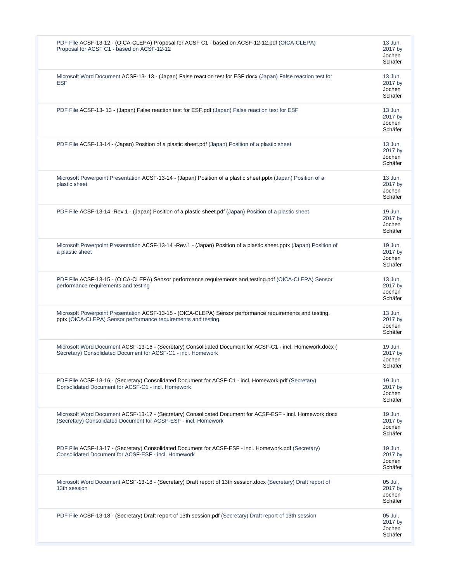| PDF File ACSF-13-12 - (OICA-CLEPA) Proposal for ACSF C1 - based on ACSF-12-12.pdf (OICA-CLEPA)<br>Proposal for ACSF C1 - based on ACSF-12-12                                 | 13 Jun.<br>2017 by<br>Jochen<br>Schäfer |
|------------------------------------------------------------------------------------------------------------------------------------------------------------------------------|-----------------------------------------|
| Microsoft Word Document ACSF-13-13 - (Japan) False reaction test for ESF.docx (Japan) False reaction test for<br><b>ESF</b>                                                  | 13 Jun,<br>2017 by<br>Jochen<br>Schäfer |
| PDF File ACSF-13-13 - (Japan) False reaction test for ESF pdf (Japan) False reaction test for ESF                                                                            | 13 Jun,<br>2017 by<br>Jochen<br>Schäfer |
| PDF File ACSF-13-14 - (Japan) Position of a plastic sheet.pdf (Japan) Position of a plastic sheet                                                                            | 13 Jun,<br>2017 by<br>Jochen<br>Schäfer |
| Microsoft Powerpoint Presentation ACSF-13-14 - (Japan) Position of a plastic sheet.pptx (Japan) Position of a<br>plastic sheet                                               | 13 Jun.<br>2017 by<br>Jochen<br>Schäfer |
| PDF File ACSF-13-14 -Rev.1 - (Japan) Position of a plastic sheet.pdf (Japan) Position of a plastic sheet                                                                     | 19 Jun,<br>2017 by<br>Jochen<br>Schäfer |
| Microsoft Powerpoint Presentation ACSF-13-14 -Rev.1 - (Japan) Position of a plastic sheet.pptx (Japan) Position of<br>a plastic sheet                                        | 19 Jun,<br>2017 by<br>Jochen<br>Schäfer |
| PDF File ACSF-13-15 - (OICA-CLEPA) Sensor performance requirements and testing.pdf (OICA-CLEPA) Sensor<br>performance requirements and testing                               | 13 Jun,<br>2017 by<br>Jochen<br>Schäfer |
| Microsoft Powerpoint Presentation ACSF-13-15 - (OICA-CLEPA) Sensor performance requirements and testing.<br>pptx (OICA-CLEPA) Sensor performance requirements and testing    | 13 Jun,<br>2017 by<br>Jochen<br>Schäfer |
| Microsoft Word Document ACSF-13-16 - (Secretary) Consolidated Document for ACSF-C1 - incl. Homework.docx (<br>Secretary) Consolidated Document for ACSF-C1 - incl. Homework  | 19 Jun,<br>2017 by<br>Jochen<br>Schäfer |
| PDF File ACSF-13-16 - (Secretary) Consolidated Document for ACSF-C1 - incl. Homework.pdf (Secretary)<br>Consolidated Document for ACSF-C1 - incl. Homework                   | 19 Jun.<br>2017 by<br>Jochen<br>Schäfer |
| Microsoft Word Document ACSF-13-17 - (Secretary) Consolidated Document for ACSF-ESF - incl. Homework.docx<br>(Secretary) Consolidated Document for ACSF-ESF - incl. Homework | 19 Jun,<br>2017 by<br>Jochen<br>Schäfer |
| PDF File ACSF-13-17 - (Secretary) Consolidated Document for ACSF-ESF - incl. Homework.pdf (Secretary)<br>Consolidated Document for ACSF-ESF - incl. Homework                 | 19 Jun,<br>2017 by<br>Jochen<br>Schäfer |
| Microsoft Word Document ACSF-13-18 - (Secretary) Draft report of 13th session.docx (Secretary) Draft report of<br>13th session                                               | 05 Jul.<br>2017 by<br>Jochen<br>Schäfer |
| PDF File ACSF-13-18 - (Secretary) Draft report of 13th session.pdf (Secretary) Draft report of 13th session                                                                  | 05 Jul.<br>2017 by<br>Jochen<br>Schäfer |
|                                                                                                                                                                              |                                         |